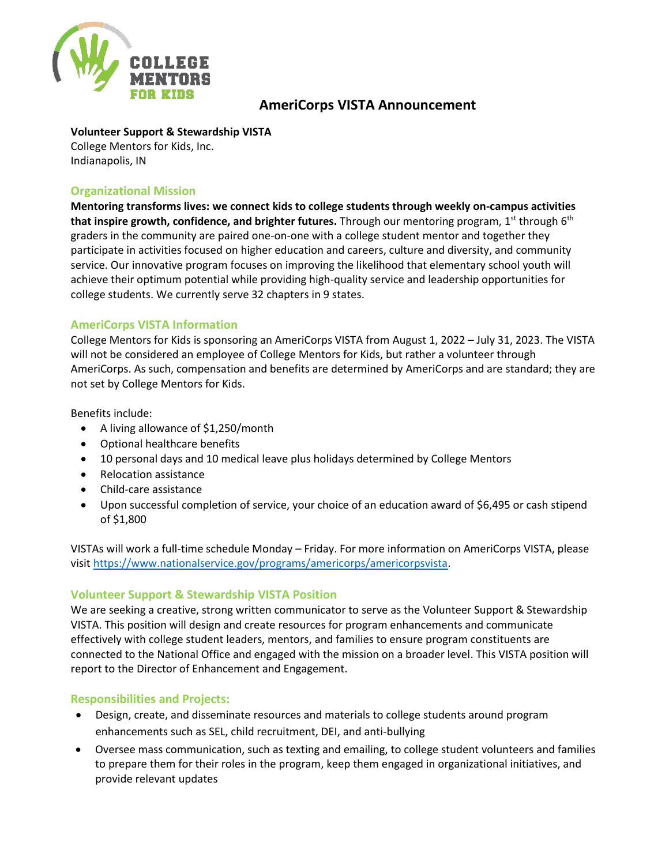

# **AmeriCorps VISTA Announcement**

## **Volunteer Support & Stewardship VISTA**

College Mentors for Kids, Inc. Indianapolis, IN

## **Organizational Mission**

**Mentoring transforms lives: we connect kids to college students through weekly on-campus activities that inspire growth, confidence, and brighter futures.** Through our mentoring program, 1<sup>st</sup> through 6<sup>th</sup> graders in the community are paired one-on-one with a college student mentor and together they participate in activities focused on higher education and careers, culture and diversity, and community service. Our innovative program focuses on improving the likelihood that elementary school youth will achieve their optimum potential while providing high-quality service and leadership opportunities for college students. We currently serve 32 chapters in 9 states.

## **AmeriCorps VISTA Information**

College Mentors for Kids is sponsoring an AmeriCorps VISTA from August 1, 2022 – July 31, 2023. The VISTA will not be considered an employee of College Mentors for Kids, but rather a volunteer through AmeriCorps. As such, compensation and benefits are determined by AmeriCorps and are standard; they are not set by College Mentors for Kids.

Benefits include:

- A living allowance of \$1,250/month
- Optional healthcare benefits
- 10 personal days and 10 medical leave plus holidays determined by College Mentors
- Relocation assistance
- Child-care assistance
- Upon successful completion of service, your choice of an education award of \$6,495 or cash stipend of \$1,800

VISTAs will work a full-time schedule Monday – Friday. For more information on AmeriCorps VISTA, please visit [https://www.nationalservice.gov/programs/americorps/americorpsvista.](https://www.nationalservice.gov/programs/americorps/americorpsvista)

# **Volunteer Support & Stewardship VISTA Position**

We are seeking a creative, strong written communicator to serve as the Volunteer Support & Stewardship VISTA. This position will design and create resources for program enhancements and communicate effectively with college student leaders, mentors, and families to ensure program constituents are connected to the National Office and engaged with the mission on a broader level. This VISTA position will report to the Director of Enhancement and Engagement.

### **Responsibilities and Projects:**

- Design, create, and disseminate resources and materials to college students around program enhancements such as SEL, child recruitment, DEI, and anti-bullying
- Oversee mass communication, such as texting and emailing, to college student volunteers and families to prepare them for their roles in the program, keep them engaged in organizational initiatives, and provide relevant updates